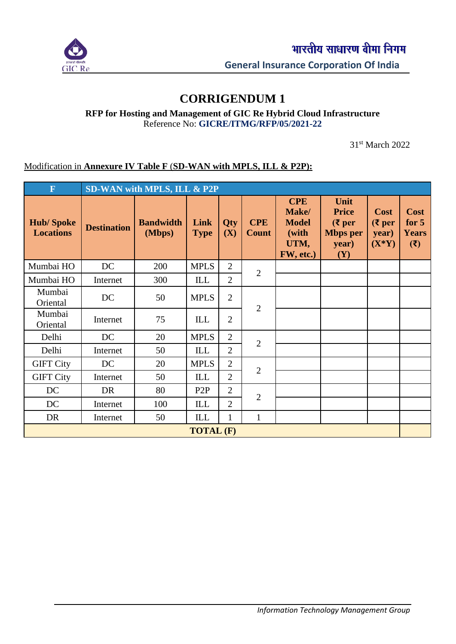

## **CORRIGENDUM 1**

**RFP for Hosting and Management of GIC Re Hybrid Cloud Infrastructure** Reference No: **GICRE/ITMG/RFP/05/2021-22**

31st March 2022

## Modification in **Annexure IV Table F** (**SD-WAN with MPLS, ILL & P2P):**

| $\mathbf F$                          | SD-WAN with MPLS, ILL & P2P |                            |                     |                |                            |                                                                   |                                                                     |                                       |                                               |  |
|--------------------------------------|-----------------------------|----------------------------|---------------------|----------------|----------------------------|-------------------------------------------------------------------|---------------------------------------------------------------------|---------------------------------------|-----------------------------------------------|--|
| <b>Hub/Spoke</b><br><b>Locations</b> | <b>Destination</b>          | <b>Bandwidth</b><br>(Mbps) | Link<br><b>Type</b> | Qty<br>(X)     | <b>CPE</b><br><b>Count</b> | <b>CPE</b><br>Make/<br><b>Model</b><br>(with<br>UTM,<br>FW, etc.) | Unit<br><b>Price</b><br>$(5$ per<br><b>Mbps</b> per<br>year)<br>(Y) | Cost<br>( ₹ per)<br>year)<br>$(X^*Y)$ | <b>Cost</b><br>for $5$<br><b>Years</b><br>(3) |  |
| Mumbai HO                            | DC                          | 200                        | <b>MPLS</b>         | $\overline{2}$ | $\overline{2}$             |                                                                   |                                                                     |                                       |                                               |  |
| Mumbai HO                            | Internet                    | 300                        | ILL                 | $\overline{2}$ |                            |                                                                   |                                                                     |                                       |                                               |  |
| Mumbai<br>Oriental                   | DC                          | 50                         | <b>MPLS</b>         | $\overline{2}$ | $\overline{2}$             |                                                                   |                                                                     |                                       |                                               |  |
| Mumbai<br>Oriental                   | Internet                    | 75                         | ILL                 | $\overline{2}$ |                            |                                                                   |                                                                     |                                       |                                               |  |
| Delhi                                | DC                          | 20                         | <b>MPLS</b>         | $\overline{2}$ | $\overline{2}$             |                                                                   |                                                                     |                                       |                                               |  |
| Delhi                                | Internet                    | 50                         | ILL                 | $\overline{2}$ |                            |                                                                   |                                                                     |                                       |                                               |  |
| <b>GIFT City</b>                     | DC                          | 20                         | <b>MPLS</b>         | $\overline{2}$ |                            |                                                                   |                                                                     |                                       |                                               |  |
| <b>GIFT City</b>                     | Internet                    | 50                         | ILL                 | $\overline{2}$ | $\overline{2}$             |                                                                   |                                                                     |                                       |                                               |  |
| DC                                   | DR                          | 80                         | P <sub>2</sub> P    | $\overline{2}$ | $\overline{2}$             |                                                                   |                                                                     |                                       |                                               |  |
| DC                                   | Internet                    | 100                        | ILL                 | $\overline{2}$ |                            |                                                                   |                                                                     |                                       |                                               |  |
| DR                                   | Internet                    | 50                         | ILL                 | 1              | 1                          |                                                                   |                                                                     |                                       |                                               |  |
| <b>TOTAL (F)</b>                     |                             |                            |                     |                |                            |                                                                   |                                                                     |                                       |                                               |  |